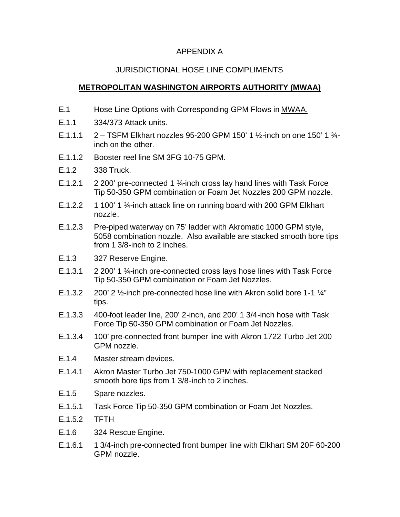## APPENDIX A

## JURISDICTIONAL HOSE LINE COMPLIMENTS

## **METROPOLITAN WASHINGTON AIRPORTS AUTHORITY (MWAA)**

- E.1 Hose Line Options with Corresponding GPM Flows in MWAA.
- E.1.1 334/373 Attack units.
- E.1.1.1  $2 T$ SFM Elkhart nozzles 95-200 GPM 150' 1 1/2-inch on one 150' 1  $\frac{3}{4}$ inch on the other.
- E.1.1.2 Booster reel line SM 3FG 10-75 GPM.
- E.1.2 338 Truck.
- E.1.2.1 2 200' pre-connected 1 ¾-inch cross lay hand lines with Task Force Tip 50-350 GPM combination or Foam Jet Nozzles 200 GPM nozzle.
- E.1.2.2 1 100' 1 3/<sub>4</sub>-inch attack line on running board with 200 GPM Elkhart nozzle.
- E.1.2.3 Pre-piped waterway on 75' ladder with Akromatic 1000 GPM style, 5058 combination nozzle. Also available are stacked smooth bore tips from 1 3/8-inch to 2 inches.
- E.1.3 327 Reserve Engine.
- E.1.3.1 2 200' 1 ¾-inch pre-connected cross lays hose lines with Task Force Tip 50-350 GPM combination or Foam Jet Nozzles.
- E.1.3.2 200' 2 1/<sub>2</sub>-inch pre-connected hose line with Akron solid bore 1-1 1/<sub>4</sub>" tips.
- E.1.3.3 400-foot leader line, 200' 2-inch, and 200' 1 3/4-inch hose with Task Force Tip 50-350 GPM combination or Foam Jet Nozzles.
- E.1.3.4 100' pre-connected front bumper line with Akron 1722 Turbo Jet 200 GPM nozzle.
- E.1.4 Master stream devices.
- E.1.4.1 Akron Master Turbo Jet 750-1000 GPM with replacement stacked smooth bore tips from 1 3/8-inch to 2 inches.
- E.1.5 Spare nozzles.
- E.1.5.1 Task Force Tip 50-350 GPM combination or Foam Jet Nozzles.
- E.1.5.2 TFTH
- E.1.6 324 Rescue Engine.
- E.1.6.1 1 3/4-inch pre-connected front bumper line with Elkhart SM 20F 60-200 GPM nozzle.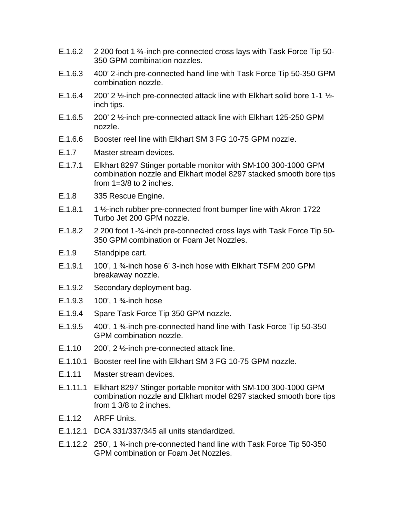- E.1.6.2 2 200 foot 1 <sup>3</sup>/<sub>4</sub>-inch pre-connected cross lays with Task Force Tip 50-350 GPM combination nozzles.
- E.1.6.3 400' 2-inch pre-connected hand line with Task Force Tip 50-350 GPM combination nozzle.
- E.1.6.4 200' 2 ½-inch pre-connected attack line with Elkhart solid bore 1-1 ½ inch tips.
- E.1.6.5 200' 2 ½-inch pre-connected attack line with Elkhart 125-250 GPM nozzle.
- E.1.6.6 Booster reel line with Elkhart SM 3 FG 10-75 GPM nozzle.
- E.1.7 Master stream devices.
- E.1.7.1 Elkhart 8297 Stinger portable monitor with SM-100 300-1000 GPM combination nozzle and Elkhart model 8297 stacked smooth bore tips from  $1=3/8$  to 2 inches.
- E.1.8 335 Rescue Engine.
- E.1.8.1 1 ½-inch rubber pre-connected front bumper line with Akron 1722 Turbo Jet 200 GPM nozzle.
- E.1.8.2 2 200 foot 1-3/<sub>4</sub>-inch pre-connected cross lays with Task Force Tip 50-350 GPM combination or Foam Jet Nozzles.
- E.1.9 Standpipe cart.
- $E.1.9.1$  100', 1  $\frac{3}{4}$ -inch hose 6' 3-inch hose with Elkhart TSFM 200 GPM breakaway nozzle.
- E.1.9.2 Secondary deployment bag.
- E.1.9.3 100', 1 ¾-inch hose
- E.1.9.4 Spare Task Force Tip 350 GPM nozzle.
- E.1.9.5 400', 1 ¾-inch pre-connected hand line with Task Force Tip 50-350 GPM combination nozzle.
- E.1.10  $200'$ , 2  $\frac{1}{2}$ -inch pre-connected attack line.
- E.1.10.1 Booster reel line with Elkhart SM 3 FG 10-75 GPM nozzle.
- E.1.11 Master stream devices.
- E.1.11.1 Elkhart 8297 Stinger portable monitor with SM-100 300-1000 GPM combination nozzle and Elkhart model 8297 stacked smooth bore tips from 1 3/8 to 2 inches.
- E.1.12 ARFF Units.
- E.1.12.1 DCA 331/337/345 all units standardized.
- E.1.12.2 250', 1 ¾-inch pre-connected hand line with Task Force Tip 50-350 GPM combination or Foam Jet Nozzles.